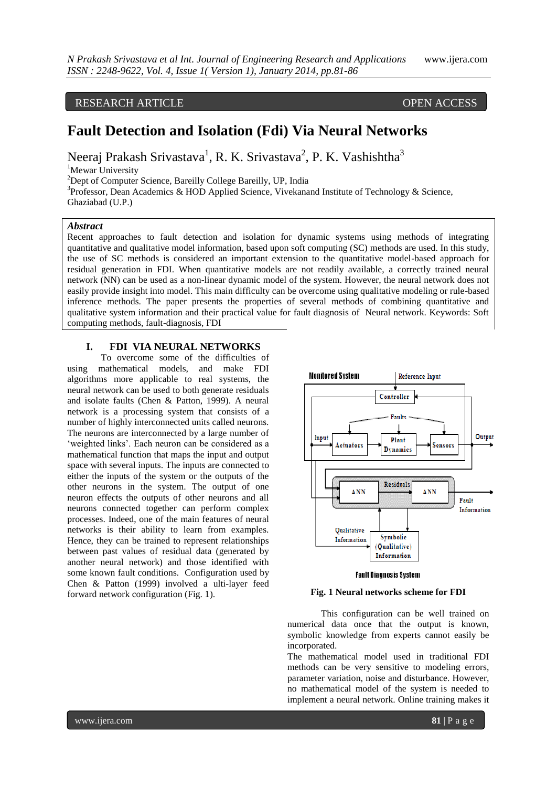# RESEARCH ARTICLE OPEN ACCESS

# **Fault Detection and Isolation (Fdi) Via Neural Networks**

Neeraj Prakash Srivastava<sup>1</sup>, R. K. Srivastava<sup>2</sup>, P. K. Vashishtha<sup>3</sup>

<sup>1</sup>Mewar University

<sup>2</sup>Dept of Computer Science, Bareilly College Bareilly, UP, India

<sup>3</sup>Professor, Dean Academics & HOD Applied Science, Vivekanand Institute of Technology & Science, Ghaziabad (U.P.)

#### *Abstract*

Recent approaches to fault detection and isolation for dynamic systems using methods of integrating quantitative and qualitative model information, based upon soft computing (SC) methods are used. In this study, the use of SC methods is considered an important extension to the quantitative model-based approach for residual generation in FDI. When quantitative models are not readily available, a correctly trained neural network (NN) can be used as a non-linear dynamic model of the system. However, the neural network does not easily provide insight into model. This main difficulty can be overcome using qualitative modeling or rule-based inference methods. The paper presents the properties of several methods of combining quantitative and qualitative system information and their practical value for fault diagnosis of Neural network. Keywords: Soft computing methods, fault-diagnosis, FDI

### **I. FDI VIA NEURAL NETWORKS**

To overcome some of the difficulties of using mathematical models, and make FDI algorithms more applicable to real systems, the neural network can be used to both generate residuals and isolate faults (Chen & Patton, 1999). A neural network is a processing system that consists of a number of highly interconnected units called neurons. The neurons are interconnected by a large number of 'weighted links'. Each neuron can be considered as a mathematical function that maps the input and output space with several inputs. The inputs are connected to either the inputs of the system or the outputs of the other neurons in the system. The output of one neuron effects the outputs of other neurons and all neurons connected together can perform complex processes. Indeed, one of the main features of neural networks is their ability to learn from examples. Hence, they can be trained to represent relationships between past values of residual data (generated by another neural network) and those identified with some known fault conditions. Configuration used by Chen & Patton (1999) involved a ulti-layer feed forward network configuration (Fig. 1). **Fig. 1 Neural networks scheme for FDI**



#### **Fault Diagnosis System**

This configuration can be well trained on numerical data once that the output is known, symbolic knowledge from experts cannot easily be incorporated.

The mathematical model used in traditional FDI methods can be very sensitive to modeling errors, parameter variation, noise and disturbance. However, no mathematical model of the system is needed to implement a neural network. Online training makes it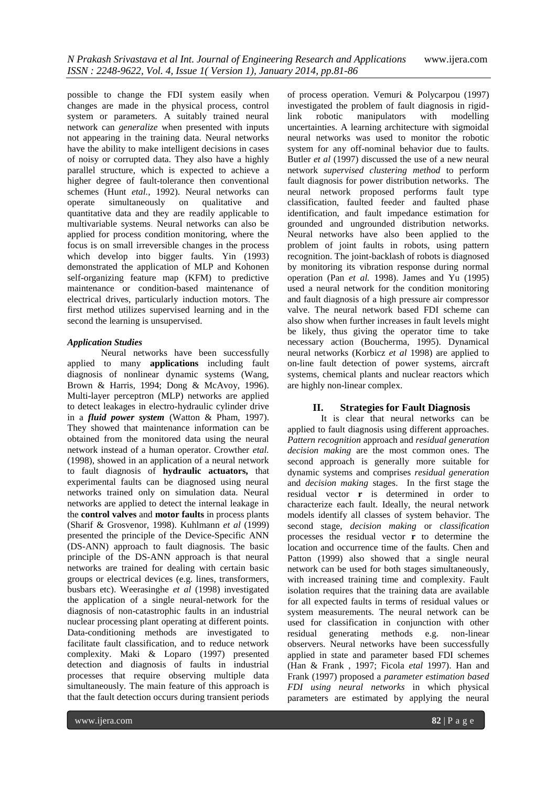possible to change the FDI system easily when changes are made in the physical process, control system or parameters. A suitably trained neural network can *generalize* when presented with inputs not appearing in the training data. Neural networks have the ability to make intelligent decisions in cases of noisy or corrupted data. They also have a highly parallel structure, which is expected to achieve a higher degree of fault-tolerance then conventional schemes (Hunt *etal.,* 1992). Neural networks can operate simultaneously on qualitative and quantitative data and they are readily applicable to multivariable systems. Neural networks can also be applied for process condition monitoring, where the focus is on small irreversible changes in the process which develop into bigger faults. Yin (1993) demonstrated the application of MLP and Kohonen self-organizing feature map (KFM) to predictive maintenance or condition-based maintenance of electrical drives, particularly induction motors. The first method utilizes supervised learning and in the second the learning is unsupervised.

# *Application Studies*

Neural networks have been successfully applied to many **applications** including fault diagnosis of nonlinear dynamic systems (Wang, Brown & Harris, 1994; Dong & McAvoy, 1996). Multi-layer perceptron (MLP) networks are applied to detect leakages in electro-hydraulic cylinder drive in a *fluid power system* (Watton & Pham, 1997). They showed that maintenance information can be obtained from the monitored data using the neural network instead of a human operator. Crowther *etal.*  (1998), showed in an application of a neural network to fault diagnosis of **hydraulic actuators,** that experimental faults can be diagnosed using neural networks trained only on simulation data. Neural networks are applied to detect the internal leakage in the **control valves** and **motor faults** in process plants (Sharif & Grosvenor, 1998). Kuhlmann *et al* (1999) presented the principle of the Device-Specific ANN (DS-ANN) approach to fault diagnosis. The basic principle of the DS-ANN approach is that neural networks are trained for dealing with certain basic groups or electrical devices (e.g. lines, transformers, busbars etc). Weerasinghe *et al* (1998) investigated the application of a single neural-network for the diagnosis of non-catastrophic faults in an industrial nuclear processing plant operating at different points. Data-conditioning methods are investigated to facilitate fault classification, and to reduce network complexity. Maki & Loparo (1997) presented detection and diagnosis of faults in industrial processes that require observing multiple data simultaneously. The main feature of this approach is that the fault detection occurs during transient periods of process operation. Vemuri & Polycarpou (1997) investigated the problem of fault diagnosis in rigidlink robotic manipulators with modelling uncertainties. A learning architecture with sigmoidal neural networks was used to monitor the robotic system for any off-nominal behavior due to faults. Butler *et al* (1997) discussed the use of a new neural network *supervised clustering method* to perform fault diagnosis for power distribution networks. The neural network proposed performs fault type classification, faulted feeder and faulted phase identification, and fault impedance estimation for grounded and ungrounded distribution networks. Neural networks have also been applied to the problem of joint faults in robots, using pattern recognition. The joint-backlash of robots is diagnosed by monitoring its vibration response during normal operation (Pan *et al.* 1998). James and Yu (1995) used a neural network for the condition monitoring and fault diagnosis of a high pressure air compressor valve. The neural network based FDI scheme can also show when further increases in fault levels might be likely, thus giving the operator time to take necessary action (Boucherma, 1995). Dynamical neural networks (Korbicz *et al* 1998) are applied to on-line fault detection of power systems, aircraft systems, chemical plants and nuclear reactors which are highly non-linear complex.

# **II. Strategies for Fault Diagnosis**

It is clear that neural networks can be applied to fault diagnosis using different approaches. *Pattern recognition* approach and *residual generation decision making* are the most common ones. The second approach is generally more suitable for dynamic systems and comprises *residual generation* and *decision making* stages. In the first stage the residual vector **r** is determined in order to characterize each fault. Ideally, the neural network models identify all classes of system behavior. The second stage, *decision making* or *classification* processes the residual vector **r** to determine the location and occurrence time of the faults. Chen and Patton (1999) also showed that a single neural network can be used for both stages simultaneously, with increased training time and complexity. Fault isolation requires that the training data are available for all expected faults in terms of residual values or system measurements. The neural network can be used for classification in conjunction with other residual generating methods e.g. non-linear observers. Neural networks have been successfully applied in state and parameter based FDI schemes (Han & Frank , 1997; Ficola *etal* 1997). Han and Frank (1997) proposed a *parameter estimation based FDI using neural networks* in which physical parameters are estimated by applying the neural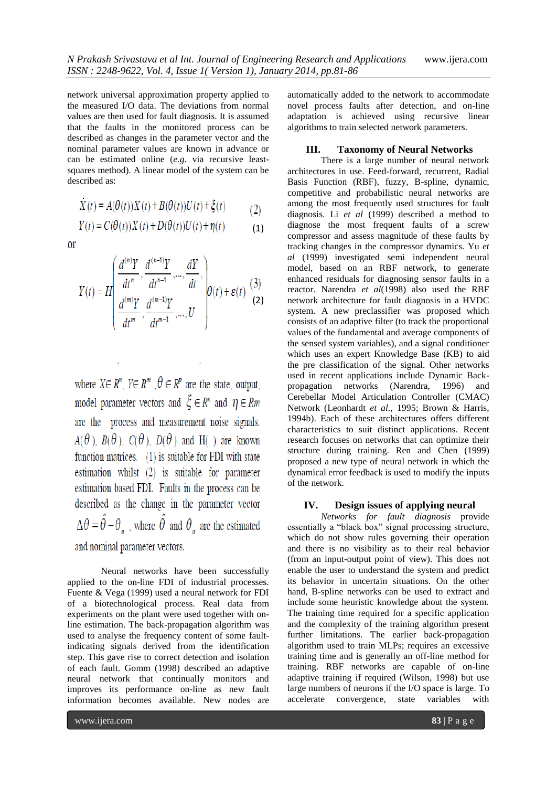network universal approximation property applied to the measured I/O data. The deviations from normal values are then used for fault diagnosis. It is assumed that the faults in the monitored process can be described as changes in the parameter vector and the nominal parameter values are known in advance or can be estimated online (*e.g.* via recursive leastsquares method). A linear model of the system can be described as:

$$
X(t) = A(\theta(t))X(t) + B(\theta(t))U(t) + \xi(t)
$$
\n(2)

$$
Y(t) = C(\theta(t))X(t) + D(\theta(t))U(t) + \eta(t)
$$
\n(1)

0ľ

$$
Y(t) = H\left(\frac{d^{(n)}Y}{dt^n}, \frac{d^{(n-1)}Y}{dt^{n-1}}, \dots, \frac{dY}{dt}, \right) \theta(t) + \varepsilon(t) \tag{3}
$$
\n
$$
\frac{d^{(m)}Y}{dt^m}, \frac{d^{(m-1)}Y}{dt^{m-1}}, \dots, U
$$

where  $X \in \mathbb{R}^n$ ,  $Y \in \mathbb{R}^m$ ,  $\theta \in \mathbb{R}^p$  are the state, output. model parameter vectors and  $\xi \in R^n$  and  $\eta \in Rm$ are the process and measurement noise signals.  $A(\theta)$ ,  $B(\theta)$ ,  $C(\theta)$ ,  $D(\theta)$  and  $H(\cdot)$  are known function matrices. (1) is suitable for FDI with state estimation whilst (2) is suitable for parameter estimation based FDI. Faults in the process can be described as the change in the parameter vector  $\Delta \theta = \hat{\theta} - \theta_{\alpha}$ , where  $\hat{\theta}$  and  $\theta_{\alpha}$  are the estimated and nominal parameter vectors.

Neural networks have been successfully applied to the on-line FDI of industrial processes. Fuente & Vega (1999) used a neural network for FDI of a biotechnological process. Real data from experiments on the plant were used together with online estimation. The back-propagation algorithm was used to analyse the frequency content of some faultindicating signals derived from the identification step. This gave rise to correct detection and isolation of each fault. Gomm (1998) described an adaptive neural network that continually monitors and improves its performance on-line as new fault information becomes available. New nodes are

automatically added to the network to accommodate novel process faults after detection, and on-line adaptation is achieved using recursive linear algorithms to train selected network parameters.

# **III. Taxonomy of Neural Networks**

There is a large number of neural network architectures in use. Feed-forward, recurrent, Radial Basis Function (RBF), fuzzy, B-spline, dynamic, competitive and probabilistic neural networks are among the most frequently used structures for fault diagnosis. Li *et al* (1999) described a method to diagnose the most frequent faults of a screw compressor and assess magnitude of these faults by tracking changes in the compressor dynamics. Yu *et al* (1999) investigated semi independent neural model, based on an RBF network, to generate enhanced residuals for diagnosing sensor faults in a reactor. Narendra *et al*(1998) also used the RBF network architecture for fault diagnosis in a HVDC system. A new preclassifier was proposed which consists of an adaptive filter (to track the proportional values of the fundamental and average components of the sensed system variables), and a signal conditioner which uses an expert Knowledge Base (KB) to aid the pre classification of the signal. Other networks used in recent applications include Dynamic Backpropagation networks (Narendra, 1996) and Cerebellar Model Articulation Controller (CMAC) Network (Leonhardt *et al.,* 1995; Brown & Harris, 1994b). Each of these architectures offers different characteristics to suit distinct applications. Recent research focuses on networks that can optimize their structure during training. Ren and Chen (1999) proposed a new type of neural network in which the dynamical error feedback is used to modify the inputs of the network.

#### **IV. Design issues of applying neural**

*Networks for fault diagnosis* provide essentially a "black box" signal processing structure, which do not show rules governing their operation and there is no visibility as to their real behavior (from an input-output point of view). This does not enable the user to understand the system and predict its behavior in uncertain situations. On the other hand, B-spline networks can be used to extract and include some heuristic knowledge about the system. The training time required for a specific application and the complexity of the training algorithm present further limitations. The earlier back-propagation algorithm used to train MLPs; requires an excessive training time and is generally an off-line method for training. RBF networks are capable of on-line adaptive training if required (Wilson, 1998) but use large numbers of neurons if the I/O space is large. To accelerate convergence, state variables with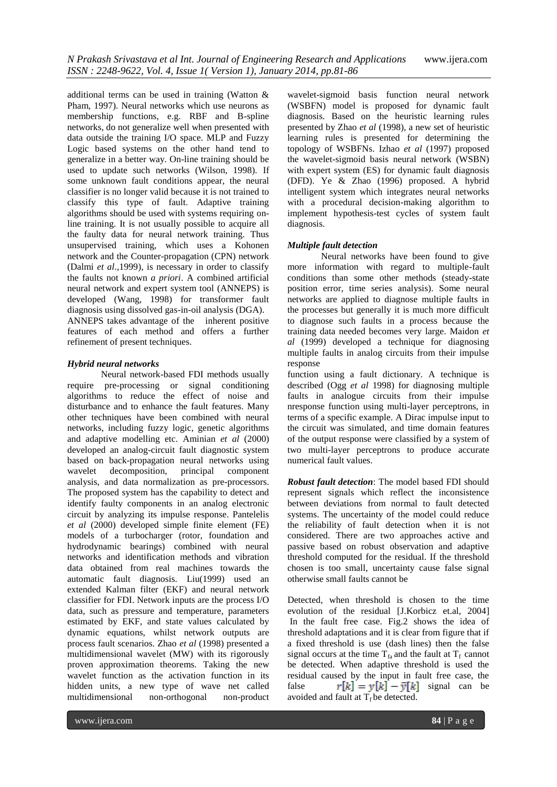additional terms can be used in training (Watton & Pham, 1997). Neural networks which use neurons as membership functions, e.g. RBF and B-spline networks, do not generalize well when presented with data outside the training I/O space. MLP and Fuzzy Logic based systems on the other hand tend to generalize in a better way. On-line training should be used to update such networks (Wilson, 1998). If some unknown fault conditions appear, the neural classifier is no longer valid because it is not trained to classify this type of fault. Adaptive training algorithms should be used with systems requiring online training. It is not usually possible to acquire all the faulty data for neural network training. Thus unsupervised training, which uses a Kohonen network and the Counter-propagation (CPN) network (Dalmi *et al*.,1999), is necessary in order to classify the faults not known *a priori*. A combined artificial neural network and expert system tool (ANNEPS) is developed (Wang, 1998) for transformer fault diagnosis using dissolved gas-in-oil analysis (DGA). ANNEPS takes advantage of the inherent positive features of each method and offers a further refinement of present techniques.

# *Hybrid neural networks*

Neural network-based FDI methods usually require pre-processing or signal conditioning algorithms to reduce the effect of noise and disturbance and to enhance the fault features. Many other techniques have been combined with neural networks, including fuzzy logic, genetic algorithms and adaptive modelling etc. Aminian *et al* (2000) developed an analog-circuit fault diagnostic system based on back-propagation neural networks using wavelet decomposition, principal component analysis, and data normalization as pre-processors. The proposed system has the capability to detect and identify faulty components in an analog electronic circuit by analyzing its impulse response. Pantelelis *et al* (2000) developed simple finite element (FE) models of a turbocharger (rotor, foundation and hydrodynamic bearings) combined with neural networks and identification methods and vibration data obtained from real machines towards the automatic fault diagnosis. Liu(1999) used an extended Kalman filter (EKF) and neural network classifier for FDI. Network inputs are the process I/O data, such as pressure and temperature, parameters estimated by EKF, and state values calculated by dynamic equations, whilst network outputs are process fault scenarios. Zhao *et al* (1998) presented a multidimensional wavelet (MW) with its rigorously proven approximation theorems. Taking the new wavelet function as the activation function in its hidden units, a new type of wave net called multidimensional non-orthogonal non-product wavelet-sigmoid basis function neural network (WSBFN) model is proposed for dynamic fault diagnosis. Based on the heuristic learning rules presented by Zhao *et al* (1998), a new set of heuristic learning rules is presented for determining the topology of WSBFNs. Izhao *et al* (1997) proposed the wavelet-sigmoid basis neural network (WSBN) with expert system (ES) for dynamic fault diagnosis (DFD). Ye & Zhao (1996) proposed. A hybrid intelligent system which integrates neural networks with a procedural decision-making algorithm to implement hypothesis-test cycles of system fault diagnosis.

# *Multiple fault detection*

Neural networks have been found to give more information with regard to multiple-fault conditions than some other methods (steady-state position error, time series analysis). Some neural networks are applied to diagnose multiple faults in the processes but generally it is much more difficult to diagnose such faults in a process because the training data needed becomes very large. Maidon *et al* (1999) developed a technique for diagnosing multiple faults in analog circuits from their impulse response

function using a fault dictionary. A technique is described (Ogg *et al* 1998) for diagnosing multiple faults in analogue circuits from their impulse nresponse function using multi-layer perceptrons, in terms of a specific example. A Dirac impulse input to the circuit was simulated, and time domain features of the output response were classified by a system of two multi-layer perceptrons to produce accurate numerical fault values.

*Robust fault detection*: The model based FDI should represent signals which reflect the inconsistence between deviations from normal to fault detected systems. The uncertainty of the model could reduce the reliability of fault detection when it is not considered. There are two approaches active and passive based on robust observation and adaptive threshold computed for the residual. If the threshold chosen is too small, uncertainty cause false signal otherwise small faults cannot be

Detected, when threshold is chosen to the time evolution of the residual [J.Korbicz et.al, 2004] In the fault free case. Fig.2 shows the idea of threshold adaptations and it is clear from figure that if a fixed threshold is use (dash lines) then the false signal occurs at the time  $T_{fa}$  and the fault at  $T_f$  cannot be detected. When adaptive threshold is used the residual caused by the input in fault free case, the false  $r[k] = y[k] - \overline{y}[k]$  signal can be avoided and fault at  $T_f$  be detected.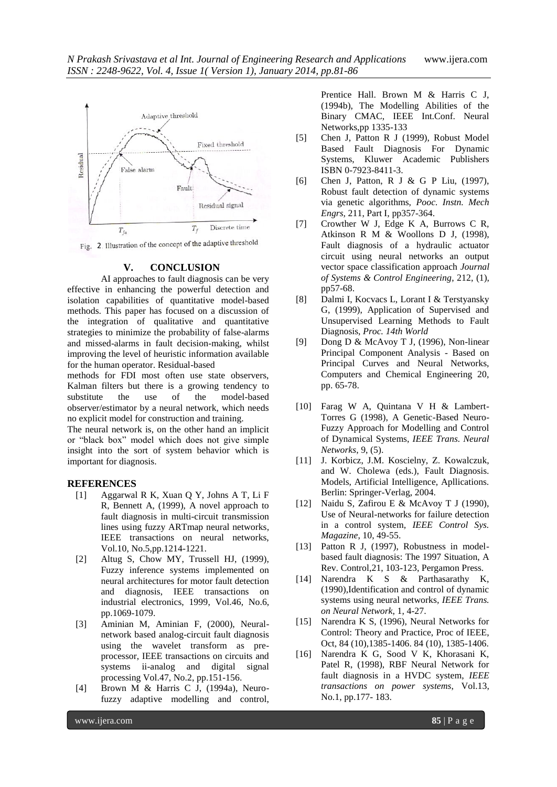

Fig. 2. Illustration of the concept of the adaptive threshold

#### **V. CONCLUSION**

AI approaches to fault diagnosis can be very effective in enhancing the powerful detection and isolation capabilities of quantitative model-based methods. This paper has focused on a discussion of the integration of qualitative and quantitative strategies to minimize the probability of false-alarms and missed-alarms in fault decision-making, whilst improving the level of heuristic information available for the human operator. Residual-based

methods for FDI most often use state observers, Kalman filters but there is a growing tendency to substitute the use of the model-based observer/estimator by a neural network, which needs no explicit model for construction and training.

The neural network is, on the other hand an implicit or "black box" model which does not give simple insight into the sort of system behavior which is important for diagnosis.

#### **REFERENCES**

- [1] Aggarwal R K, Xuan Q Y, Johns A T, Li F R, Bennett A, (1999), A novel approach to fault diagnosis in multi-circuit transmission lines using fuzzy ARTmap neural networks, IEEE transactions on neural networks, Vol.10, No.5,pp.1214-1221.
- [2] Altug S, Chow MY, Trussell HJ, (1999), Fuzzy inference systems implemented on neural architectures for motor fault detection and diagnosis, IEEE transactions on industrial electronics, 1999, Vol.46, No.6, pp.1069-1079.
- [3] Aminian M, Aminian F, (2000), Neuralnetwork based analog-circuit fault diagnosis using the wavelet transform as preprocessor, IEEE transactions on circuits and systems ii-analog and digital signal processing Vol.47, No.2, pp.151-156.
- [4] Brown M & Harris C J, (1994a), Neurofuzzy adaptive modelling and control,

Prentice Hall. Brown M & Harris C J, (1994b), The Modelling Abilities of the Binary CMAC, IEEE Int.Conf. Neural Networks,pp 1335-133

- [5] Chen J, Patton R J (1999), Robust Model Based Fault Diagnosis For Dynamic Systems, Kluwer Academic Publishers ISBN 0-7923-8411-3.
- [6] Chen J, Patton, R J & G P Liu, (1997), Robust fault detection of dynamic systems via genetic algorithms, *Pooc. Instn. Mech Engrs,* 211, Part I, pp357-364.
- [7] Crowther W J, Edge K A, Burrows C R, Atkinson R M & Woollons D J, (1998), Fault diagnosis of a hydraulic actuator circuit using neural networks an output vector space classification approach *Journal of Systems & Control Engineering*, 212, (1), pp57-68.
- [8] Dalmi I, Kocvacs L, Lorant I & Terstyansky G, (1999), Application of Supervised and Unsupervised Learning Methods to Fault Diagnosis, *Proc. 14th World*
- [9] Dong D & McAvoy T J, (1996), Non-linear Principal Component Analysis - Based on Principal Curves and Neural Networks, Computers and Chemical Engineering 20, pp. 65-78.
- [10] Farag W A, Quintana V H & Lambert-Torres G (1998), A Genetic-Based Neuro-Fuzzy Approach for Modelling and Control of Dynamical Systems, *IEEE Trans. Neural Networks*, 9, (5).
- [11] J. Korbicz, J.M. Koscielny, Z. Kowalczuk, and W. Cholewa (eds.), Fault Diagnosis. Models, Artificial Intelligence, Apllications. Berlin: Springer-Verlag, 2004.
- [12] Naidu S, Zafirou E & McAvoy T J (1990), Use of Neural-networks for failure detection in a control system*, IEEE Control Sys. Magazine*, 10, 49-55.
- [13] Patton R J, (1997), Robustness in modelbased fault diagnosis: The 1997 Situation, A Rev. Control,21, 103-123, Pergamon Press.
- [14] Narendra K S & Parthasarathy K, (1990),Identification and control of dynamic systems using neural networks*, IEEE Trans. on Neural Network*, 1, 4-27.
- [15] Narendra K S, (1996), Neural Networks for Control: Theory and Practice, Proc of IEEE, Oct, 84 (10),1385-1406. 84 (10), 1385-1406.
- [16] Narendra K G, Sood V K, Khorasani K, Patel R, (1998), RBF Neural Network for fault diagnosis in a HVDC system, *IEEE transactions on power systems*, Vol.13, No.1, pp.177- 183.